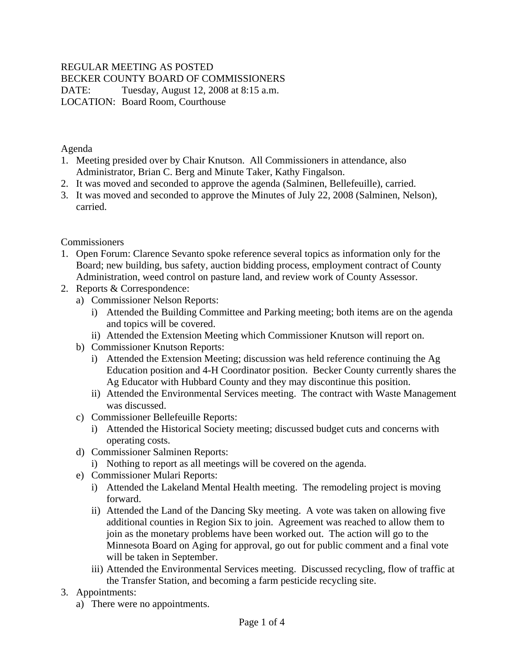# REGULAR MEETING AS POSTED BECKER COUNTY BOARD OF COMMISSIONERS DATE: Tuesday, August 12, 2008 at 8:15 a.m.

LOCATION: Board Room, Courthouse

Agenda

- 1. Meeting presided over by Chair Knutson. All Commissioners in attendance, also Administrator, Brian C. Berg and Minute Taker, Kathy Fingalson.
- 2. It was moved and seconded to approve the agenda (Salminen, Bellefeuille), carried.
- 3. It was moved and seconded to approve the Minutes of July 22, 2008 (Salminen, Nelson), carried.

**Commissioners** 

- 1. Open Forum: Clarence Sevanto spoke reference several topics as information only for the Board; new building, bus safety, auction bidding process, employment contract of County Administration, weed control on pasture land, and review work of County Assessor.
- 2. Reports & Correspondence:
	- a) Commissioner Nelson Reports:
		- i) Attended the Building Committee and Parking meeting; both items are on the agenda and topics will be covered.
		- ii) Attended the Extension Meeting which Commissioner Knutson will report on.
	- b) Commissioner Knutson Reports:
		- i) Attended the Extension Meeting; discussion was held reference continuing the Ag Education position and 4-H Coordinator position. Becker County currently shares the Ag Educator with Hubbard County and they may discontinue this position.
		- ii) Attended the Environmental Services meeting. The contract with Waste Management was discussed.
	- c) Commissioner Bellefeuille Reports:
		- i) Attended the Historical Society meeting; discussed budget cuts and concerns with operating costs.
	- d) Commissioner Salminen Reports:
		- i) Nothing to report as all meetings will be covered on the agenda.
	- e) Commissioner Mulari Reports:
		- i) Attended the Lakeland Mental Health meeting. The remodeling project is moving forward.
		- ii) Attended the Land of the Dancing Sky meeting. A vote was taken on allowing five additional counties in Region Six to join. Agreement was reached to allow them to join as the monetary problems have been worked out. The action will go to the Minnesota Board on Aging for approval, go out for public comment and a final vote will be taken in September.
		- iii) Attended the Environmental Services meeting. Discussed recycling, flow of traffic at the Transfer Station, and becoming a farm pesticide recycling site.
- 3. Appointments:
	- a) There were no appointments.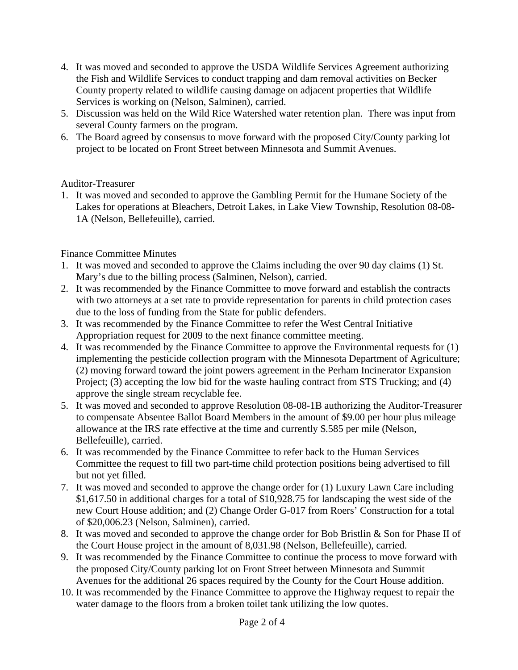- 4. It was moved and seconded to approve the USDA Wildlife Services Agreement authorizing the Fish and Wildlife Services to conduct trapping and dam removal activities on Becker County property related to wildlife causing damage on adjacent properties that Wildlife Services is working on (Nelson, Salminen), carried.
- 5. Discussion was held on the Wild Rice Watershed water retention plan. There was input from several County farmers on the program.
- 6. The Board agreed by consensus to move forward with the proposed City/County parking lot project to be located on Front Street between Minnesota and Summit Avenues.

# Auditor-Treasurer

1. It was moved and seconded to approve the Gambling Permit for the Humane Society of the Lakes for operations at Bleachers, Detroit Lakes, in Lake View Township, Resolution 08-08- 1A (Nelson, Bellefeuille), carried.

### Finance Committee Minutes

- 1. It was moved and seconded to approve the Claims including the over 90 day claims (1) St. Mary's due to the billing process (Salminen, Nelson), carried.
- 2. It was recommended by the Finance Committee to move forward and establish the contracts with two attorneys at a set rate to provide representation for parents in child protection cases due to the loss of funding from the State for public defenders.
- 3. It was recommended by the Finance Committee to refer the West Central Initiative Appropriation request for 2009 to the next finance committee meeting.
- 4. It was recommended by the Finance Committee to approve the Environmental requests for (1) implementing the pesticide collection program with the Minnesota Department of Agriculture; (2) moving forward toward the joint powers agreement in the Perham Incinerator Expansion Project; (3) accepting the low bid for the waste hauling contract from STS Trucking; and (4) approve the single stream recyclable fee.
- 5. It was moved and seconded to approve Resolution 08-08-1B authorizing the Auditor-Treasurer to compensate Absentee Ballot Board Members in the amount of \$9.00 per hour plus mileage allowance at the IRS rate effective at the time and currently \$.585 per mile (Nelson, Bellefeuille), carried.
- 6. It was recommended by the Finance Committee to refer back to the Human Services Committee the request to fill two part-time child protection positions being advertised to fill but not yet filled.
- 7. It was moved and seconded to approve the change order for (1) Luxury Lawn Care including \$1,617.50 in additional charges for a total of \$10,928.75 for landscaping the west side of the new Court House addition; and (2) Change Order G-017 from Roers' Construction for a total of \$20,006.23 (Nelson, Salminen), carried.
- 8. It was moved and seconded to approve the change order for Bob Bristlin & Son for Phase II of the Court House project in the amount of 8,031.98 (Nelson, Bellefeuille), carried.
- 9. It was recommended by the Finance Committee to continue the process to move forward with the proposed City/County parking lot on Front Street between Minnesota and Summit Avenues for the additional 26 spaces required by the County for the Court House addition.
- 10. It was recommended by the Finance Committee to approve the Highway request to repair the water damage to the floors from a broken toilet tank utilizing the low quotes.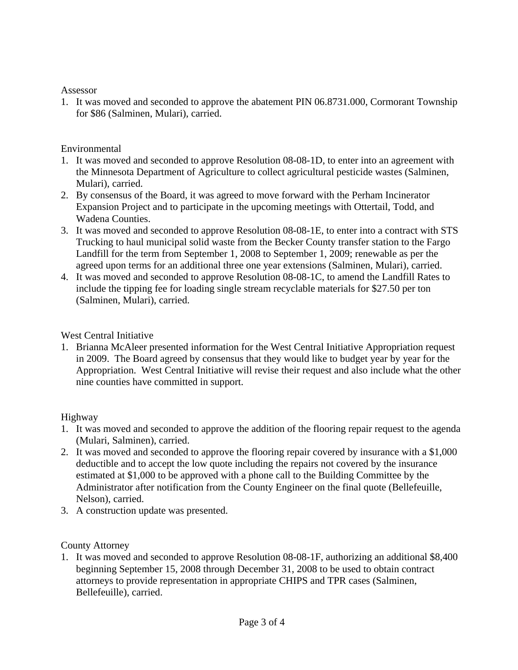#### Assessor

1. It was moved and seconded to approve the abatement PIN 06.8731.000, Cormorant Township for \$86 (Salminen, Mulari), carried.

#### Environmental

- 1. It was moved and seconded to approve Resolution 08-08-1D, to enter into an agreement with the Minnesota Department of Agriculture to collect agricultural pesticide wastes (Salminen, Mulari), carried.
- 2. By consensus of the Board, it was agreed to move forward with the Perham Incinerator Expansion Project and to participate in the upcoming meetings with Ottertail, Todd, and Wadena Counties.
- 3. It was moved and seconded to approve Resolution 08-08-1E, to enter into a contract with STS Trucking to haul municipal solid waste from the Becker County transfer station to the Fargo Landfill for the term from September 1, 2008 to September 1, 2009; renewable as per the agreed upon terms for an additional three one year extensions (Salminen, Mulari), carried.
- 4. It was moved and seconded to approve Resolution 08-08-1C, to amend the Landfill Rates to include the tipping fee for loading single stream recyclable materials for \$27.50 per ton (Salminen, Mulari), carried.

### West Central Initiative

1. Brianna McAleer presented information for the West Central Initiative Appropriation request in 2009. The Board agreed by consensus that they would like to budget year by year for the Appropriation. West Central Initiative will revise their request and also include what the other nine counties have committed in support.

# Highway

- 1. It was moved and seconded to approve the addition of the flooring repair request to the agenda (Mulari, Salminen), carried.
- 2. It was moved and seconded to approve the flooring repair covered by insurance with a \$1,000 deductible and to accept the low quote including the repairs not covered by the insurance estimated at \$1,000 to be approved with a phone call to the Building Committee by the Administrator after notification from the County Engineer on the final quote (Bellefeuille, Nelson), carried.
- 3. A construction update was presented.

# County Attorney

1. It was moved and seconded to approve Resolution 08-08-1F, authorizing an additional \$8,400 beginning September 15, 2008 through December 31, 2008 to be used to obtain contract attorneys to provide representation in appropriate CHIPS and TPR cases (Salminen, Bellefeuille), carried.